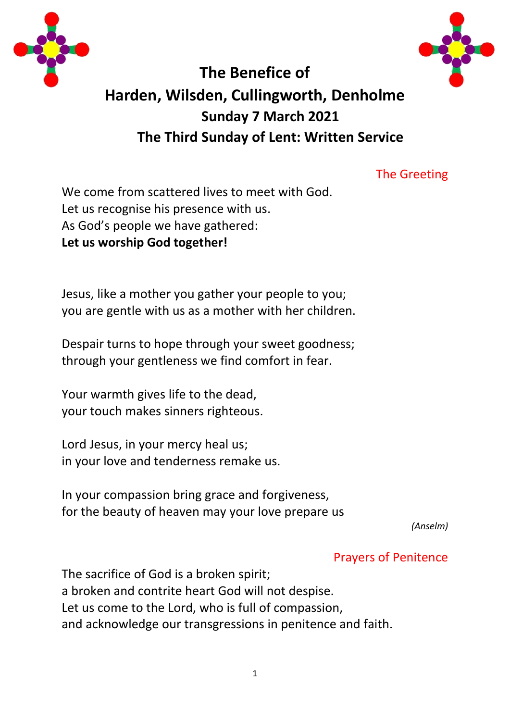



# **The Benefice of Harden, Wilsden, Cullingworth, Denholme Sunday 7 March 2021 The Third Sunday of Lent: Written Service**

#### The Greeting

We come from scattered lives to meet with God. Let us recognise his presence with us. As God's people we have gathered: **Let us worship God together!**

Jesus, like a mother you gather your people to you; you are gentle with us as a mother with her children.

Despair turns to hope through your sweet goodness; through your gentleness we find comfort in fear.

Your warmth gives life to the dead, your touch makes sinners righteous.

Lord Jesus, in your mercy heal us; in your love and tenderness remake us.

In your compassion bring grace and forgiveness, for the beauty of heaven may your love prepare us

*(Anselm)*

#### Prayers of Penitence

The sacrifice of God is a broken spirit; a broken and contrite heart God will not despise. Let us come to the Lord, who is full of compassion, and acknowledge our transgressions in penitence and faith.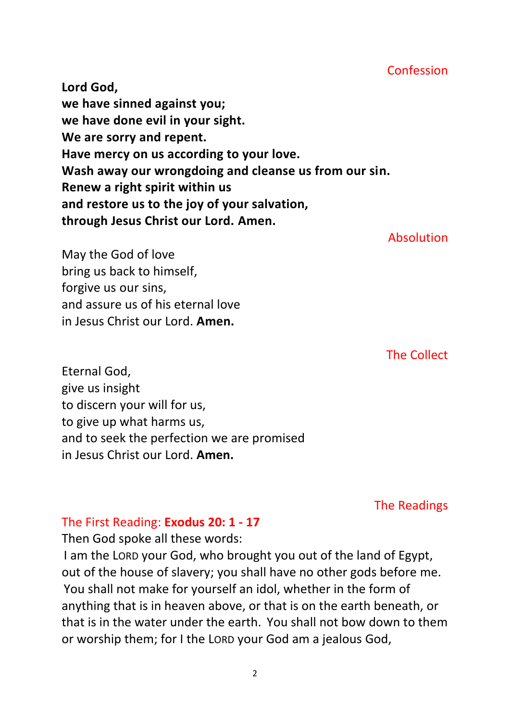Confession

**Lord God, we have sinned against you; we have done evil in your sight. We are sorry and repent. Have mercy on us according to your love. Wash away our wrongdoing and cleanse us from our sin. Renew a right spirit within us and restore us to the joy of your salvation, through Jesus Christ our Lord. Amen.**

Absolution

May the God of love bring us back to himself, forgive us our sins, and assure us of his eternal love in Jesus Christ our Lord. **Amen.**

The Collect

Eternal God, give us insight to discern your will for us, to give up what harms us, and to seek the perfection we are promised in Jesus Christ our Lord. **Amen.**

The Readings

#### The First Reading: **Exodus 20: 1 - 17**

Then God spoke all these words:

I am the LORD your God, who brought you out of the land of Egypt, out of the house of slavery; you shall have no other gods before me. You shall not make for yourself an idol, whether in the form of anything that is in heaven above, or that is on the earth beneath, or that is in the water under the earth. You shall not bow down to them or worship them; for I the LORD your God am a jealous God,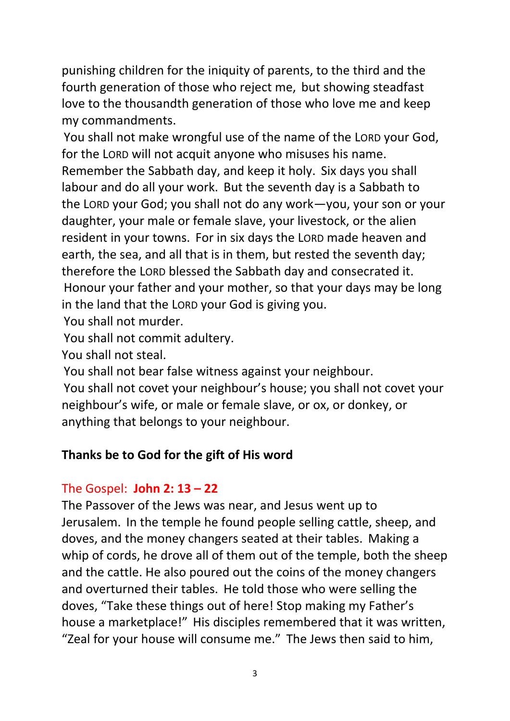punishing children for the iniquity of parents, to the third and the fourth generation of those who reject me, but showing steadfast love to the thousandth generation of those who love me and keep my commandments.

You shall not make wrongful use of the name of the LORD your God, for the LORD will not acquit anyone who misuses his name. Remember the Sabbath day, and keep it holy. Six days you shall labour and do all your work. But the seventh day is a Sabbath to the LORD your God; you shall not do any work—you, your son or your daughter, your male or female slave, your livestock, or the alien resident in your towns. For in six days the LORD made heaven and earth, the sea, and all that is in them, but rested the seventh day; therefore the LORD blessed the Sabbath day and consecrated it. Honour your father and your mother, so that your days may be long in the land that the LORD your God is giving you.

You shall not murder.

You shall not commit adultery.

You shall not steal.

You shall not bear false witness against your neighbour.

You shall not covet your neighbour's house; you shall not covet your neighbour's wife, or male or female slave, or ox, or donkey, or anything that belongs to your neighbour.

## **Thanks be to God for the gift of His word**

#### The Gospel: **John 2: 13 – 22**

The Passover of the Jews was near, and Jesus went up to Jerusalem. In the temple he found people selling cattle, sheep, and doves, and the money changers seated at their tables. Making a whip of cords, he drove all of them out of the temple, both the sheep and the cattle. He also poured out the coins of the money changers and overturned their tables. He told those who were selling the doves, "Take these things out of here! Stop making my Father's house a marketplace!" His disciples remembered that it was written, "Zeal for your house will consume me." The Jews then said to him,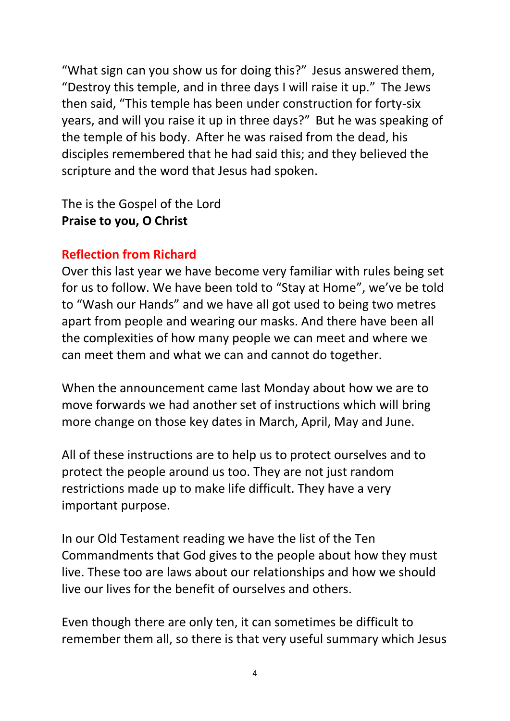"What sign can you show us for doing this?" Jesus answered them, "Destroy this temple, and in three days I will raise it up." The Jews then said, "This temple has been under construction for forty-six years, and will you raise it up in three days?" But he was speaking of the temple of his body. After he was raised from the dead, his disciples remembered that he had said this; and they believed the scripture and the word that Jesus had spoken.

The is the Gospel of the Lord **Praise to you, O Christ**

#### **Reflection from Richard**

Over this last year we have become very familiar with rules being set for us to follow. We have been told to "Stay at Home", we've be told to "Wash our Hands" and we have all got used to being two metres apart from people and wearing our masks. And there have been all the complexities of how many people we can meet and where we can meet them and what we can and cannot do together.

When the announcement came last Monday about how we are to move forwards we had another set of instructions which will bring more change on those key dates in March, April, May and June.

All of these instructions are to help us to protect ourselves and to protect the people around us too. They are not just random restrictions made up to make life difficult. They have a very important purpose.

In our Old Testament reading we have the list of the Ten Commandments that God gives to the people about how they must live. These too are laws about our relationships and how we should live our lives for the benefit of ourselves and others.

Even though there are only ten, it can sometimes be difficult to remember them all, so there is that very useful summary which Jesus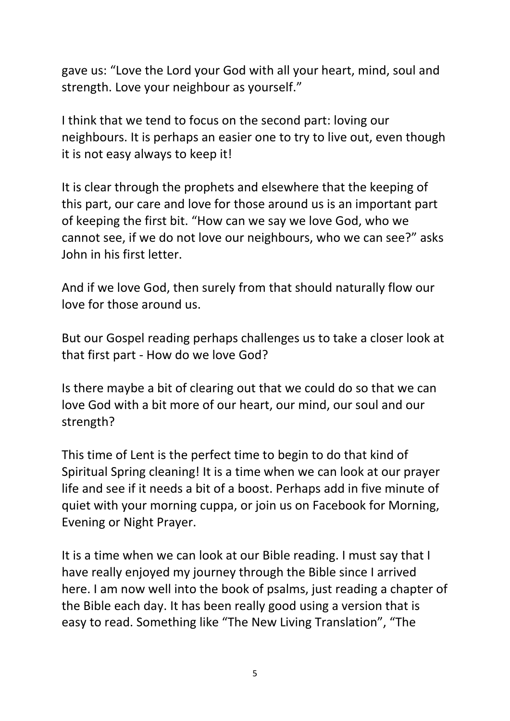gave us: "Love the Lord your God with all your heart, mind, soul and strength. Love your neighbour as yourself."

I think that we tend to focus on the second part: loving our neighbours. It is perhaps an easier one to try to live out, even though it is not easy always to keep it!

It is clear through the prophets and elsewhere that the keeping of this part, our care and love for those around us is an important part of keeping the first bit. "How can we say we love God, who we cannot see, if we do not love our neighbours, who we can see?" asks John in his first letter.

And if we love God, then surely from that should naturally flow our love for those around us.

But our Gospel reading perhaps challenges us to take a closer look at that first part - How do we love God?

Is there maybe a bit of clearing out that we could do so that we can love God with a bit more of our heart, our mind, our soul and our strength?

This time of Lent is the perfect time to begin to do that kind of Spiritual Spring cleaning! It is a time when we can look at our prayer life and see if it needs a bit of a boost. Perhaps add in five minute of quiet with your morning cuppa, or join us on Facebook for Morning, Evening or Night Prayer.

It is a time when we can look at our Bible reading. I must say that I have really enjoyed my journey through the Bible since I arrived here. I am now well into the book of psalms, just reading a chapter of the Bible each day. It has been really good using a version that is easy to read. Something like "The New Living Translation", "The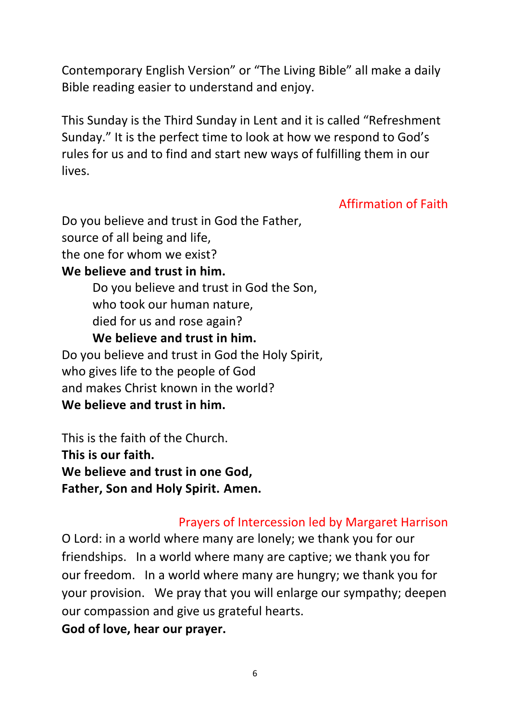Contemporary English Version" or "The Living Bible" all make a daily Bible reading easier to understand and enjoy.

This Sunday is the Third Sunday in Lent and it is called "Refreshment Sunday." It is the perfect time to look at how we respond to God's rules for us and to find and start new ways of fulfilling them in our lives.

### Affirmation of Faith

Do you believe and trust in God the Father, source of all being and life, the one for whom we exist? **We believe and trust in him.** Do you believe and trust in God the Son, who took our human nature, died for us and rose again? **We believe and trust in him.** Do you believe and trust in God the Holy Spirit, who gives life to the people of God and makes Christ known in the world? **We believe and trust in him.**

This is the faith of the Church. **This is our faith. We believe and trust in one God, Father, Son and Holy Spirit. Amen.**

#### Prayers of Intercession led by Margaret Harrison

O Lord: in a world where many are lonely; we thank you for our friendships. In a world where many are captive; we thank you for our freedom. In a world where many are hungry; we thank you for your provision. We pray that you will enlarge our sympathy; deepen our compassion and give us grateful hearts.

**God of love, hear our prayer.**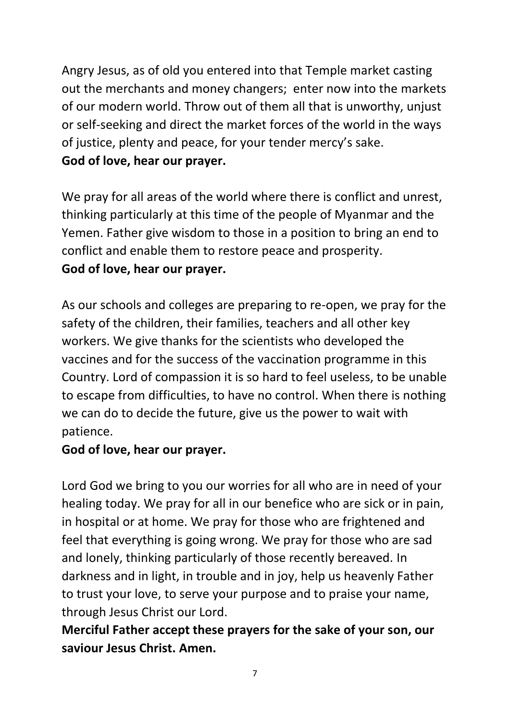Angry Jesus, as of old you entered into that Temple market casting out the merchants and money changers; enter now into the markets of our modern world. Throw out of them all that is unworthy, unjust or self-seeking and direct the market forces of the world in the ways of justice, plenty and peace, for your tender mercy's sake. **God of love, hear our prayer.**

We pray for all areas of the world where there is conflict and unrest, thinking particularly at this time of the people of Myanmar and the Yemen. Father give wisdom to those in a position to bring an end to conflict and enable them to restore peace and prosperity. **God of love, hear our prayer.**

As our schools and colleges are preparing to re-open, we pray for the safety of the children, their families, teachers and all other key workers. We give thanks for the scientists who developed the vaccines and for the success of the vaccination programme in this Country. Lord of compassion it is so hard to feel useless, to be unable to escape from difficulties, to have no control. When there is nothing we can do to decide the future, give us the power to wait with patience.

#### **God of love, hear our prayer.**

Lord God we bring to you our worries for all who are in need of your healing today. We pray for all in our benefice who are sick or in pain, in hospital or at home. We pray for those who are frightened and feel that everything is going wrong. We pray for those who are sad and lonely, thinking particularly of those recently bereaved. In darkness and in light, in trouble and in joy, help us heavenly Father to trust your love, to serve your purpose and to praise your name, through Jesus Christ our Lord.

**Merciful Father accept these prayers for the sake of your son, our saviour Jesus Christ. Amen.**